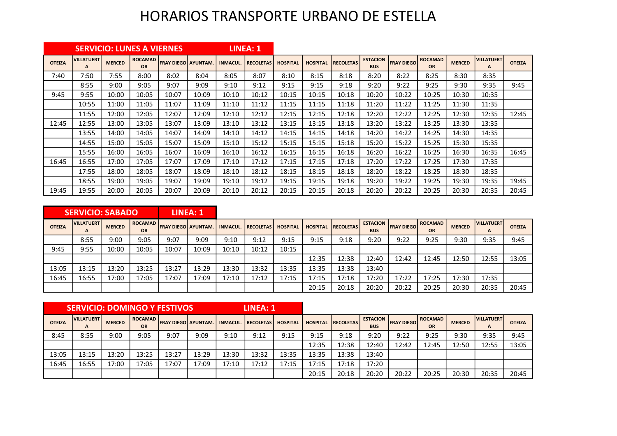## HORARIOS TRANSPORTE URBANO DE ESTELLA

|               |                        |               | <b>SERVICIO: LUNES A VIERNES</b> |                           |       |                 | LINEA: 1         |                 |                 |                  |                               |                   |                             |               |                        |               |
|---------------|------------------------|---------------|----------------------------------|---------------------------|-------|-----------------|------------------|-----------------|-----------------|------------------|-------------------------------|-------------------|-----------------------------|---------------|------------------------|---------------|
| <b>OTEIZA</b> | <b>VILLATUERT</b><br>A | <b>MERCED</b> | <b>ROCAMAD</b><br>OR             | <b>FRAY DIEGO AYUNTAM</b> |       | <b>INMACUL.</b> | <b>RECOLETAS</b> | <b>HOSPITAL</b> | <b>HOSPITAL</b> | <b>RECOLETAS</b> | <b>ESTACION</b><br><b>BUS</b> | <b>FRAY DIEGO</b> | <b>ROCAMAD</b><br><b>OR</b> | <b>MERCED</b> | <b>VILLATUERT</b><br>A | <b>OTEIZA</b> |
| 7:40          | 7:50                   | 7:55          | 8:00                             | 8:02                      | 8:04  | 8:05            | 8:07             | 8:10            | 8:15            | 8:18             | 8:20                          | 8:22              | 8:25                        | 8:30          | 8:35                   |               |
|               | 8:55                   | 9:00          | 9:05                             | 9:07                      | 9:09  | 9:10            | 9:12             | 9:15            | 9:15            | 9:18             | 9:20                          | 9:22              | 9:25                        | 9:30          | 9:35                   | 9:45          |
| 9:45          | 9:55                   | 10:00         | 10:05                            | 10:07                     | 10:09 | 10:10           | 10:12            | 10:15           | 10:15           | 10:18            | 10:20                         | 10:22             | 10:25                       | 10:30         | 10:35                  |               |
|               | 10:55                  | 11:00         | 11:05                            | 11:07                     | 11:09 | 11:10           | 11:12            | 11:15           | 11:15           | 11:18            | 11:20                         | 11:22             | 11:25                       | 11:30         | 11:35                  |               |
|               | 11:55                  | 12:00         | 12:05                            | 12:07                     | 12:09 | 12:10           | 12:12            | 12:15           | 12:15           | 12:18            | 12:20                         | 12:22             | 12:25                       | 12:30         | 12:35                  | 12:45         |
| 12:45         | 12:55                  | 13:00         | 13:05                            | 13:07                     | 13:09 | 13:10           | 13:12            | 13:15           | 13:15           | 13:18            | 13:20                         | 13:22             | 13:25                       | 13:30         | 13:35                  |               |
|               | 13:55                  | 14:00         | 14:05                            | 14:07                     | 14:09 | 14:10           | 14:12            | 14:15           | 14:15           | 14:18            | 14:20                         | 14:22             | 14:25                       | 14:30         | 14:35                  |               |
|               | 14:55                  | 15:00         | 15:05                            | 15:07                     | 15:09 | 15:10           | 15:12            | 15:15           | 15:15           | 15:18            | 15:20                         | 15:22             | 15:25                       | 15:30         | 15:35                  |               |
|               | 15:55                  | 16:00         | 16:05                            | 16:07                     | 16:09 | 16:10           | 16:12            | 16:15           | 16:15           | 16:18            | 16:20                         | 16:22             | 16:25                       | 16:30         | 16:35                  | 16:45         |
| 16:45         | 16:55                  | 17:00         | 17:05                            | 17:07                     | 17:09 | 17:10           | 17:12            | 17:15           | 17:15           | 17:18            | 17:20                         | 17:22             | 17:25                       | 17:30         | 17:35                  |               |
|               | 17:55                  | 18:00         | 18:05                            | 18:07                     | 18:09 | 18:10           | 18:12            | 18:15           | 18:15           | 18:18            | 18:20                         | 18:22             | 18:25                       | 18:30         | 18:35                  |               |
|               | 18:55                  | 19:00         | 19:05                            | 19:07                     | 19:09 | 19:10           | 19:12            | 19:15           | 19:15           | 19:18            | 19:20                         | 19:22             | 19:25                       | 19:30         | 19:35                  | 19:45         |
| 19:45         | 19:55                  | 20:00         | 20:05                            | 20:07                     | 20:09 | 20:10           | 20:12            | 20:15           | 20:15           | 20:18            | 20:20                         | 20:22             | 20:25                       | 20:30         | 20:35                  | 20:45         |

|               | <b>SERVICIO: SABADO</b>           |               |                      |                              | LINEA: 1 |                 |                  |                 |       |                           |                               |                     |                             |               |                                   |               |
|---------------|-----------------------------------|---------------|----------------------|------------------------------|----------|-----------------|------------------|-----------------|-------|---------------------------|-------------------------------|---------------------|-----------------------------|---------------|-----------------------------------|---------------|
| <b>OTEIZA</b> | <b>VILLATUERT</b><br>$\mathbf{A}$ | <b>MERCED</b> | <b>ROCAMAD</b><br>OR | <b>IFRAY DIEGOI AYUNTAM.</b> |          | <b>INMACUL.</b> | <b>RECOLETAS</b> | <b>HOSPITAL</b> |       | <b>HOSPITAL RECOLETAS</b> | <b>ESTACION</b><br><b>BUS</b> | <b>IFRAY DIEGOI</b> | <b>ROCAMAD</b><br><b>OR</b> | <b>MERCED</b> | <b>VILLATUERT</b><br>$\mathbf{A}$ | <b>OTEIZA</b> |
|               | 8:55                              | 9:00          | 9:05                 | 9:07                         | 9:09     | 9:10            | 9:12             | 9:15            | 9:15  | 9:18                      | 9:20                          | 9:22                | 9:25                        | 9:30          | 9:35                              | 9:45          |
| 9:45          | 9:55                              | 10:00         | 10:05                | 10:07                        | 10:09    | 10:10           | 10:12            | 10:15           |       |                           |                               |                     |                             |               |                                   |               |
|               |                                   |               |                      |                              |          |                 |                  |                 | 12:35 | 12:38                     | 12:40                         | 12:42               | 12:45                       | 12:50         | 12:55                             | 13:05         |
| 13:05         | 13:15                             | 13:20         | 13:25                | 13:27                        | 13:29    | 13:30           | 13:32            | 13:35           | 13:35 | 13:38                     | 13:40                         |                     |                             |               |                                   |               |
| 16:45         | 16:55                             | 17:00         | 17:05                | 17:07                        | 17:09    | 17:10           | 17:12            | 17:15           | 17:15 | 17:18                     | 17:20                         | 17:22               | 17:25                       | 17:30         | 17:35                             |               |
|               |                                   |               |                      |                              |          |                 |                  |                 | 20:15 | 20:18                     | 20:20                         | 20:22               | 20:25                       | 20:30         | 20:35                             | 20:45         |

|               | <b>SERVICIO: DOMINGO Y FESTIVOS</b> |               |                      |                              |       |                 | <b>LINEA: 1</b>  |                 |                 |                  |                               |                    |                             |               |                        |               |
|---------------|-------------------------------------|---------------|----------------------|------------------------------|-------|-----------------|------------------|-----------------|-----------------|------------------|-------------------------------|--------------------|-----------------------------|---------------|------------------------|---------------|
| <b>OTEIZA</b> | <b>VILLATUERT</b><br>A              | <b>MERCED</b> | <b>ROCAMAD</b><br>OR | <b>IFRAY DIEGOI AYUNTAM.</b> |       | <b>INMACUL.</b> | <b>RECOLETAS</b> | <b>HOSPITAL</b> | <b>HOSPITAL</b> | <b>RECOLETAS</b> | <b>ESTACION</b><br><b>BUS</b> | <b>FRAY DIEGOI</b> | <b>ROCAMAD</b><br><b>OR</b> | <b>MERCED</b> | <b>VILLATUERT</b><br>А | <b>OTEIZA</b> |
| 8:45          | 8:55                                | 9:00          | 9:05                 | 9:07                         | 9:09  | 9:10            | 9:12             | 9:15            | 9:15            | 9:18             | 9:20                          | 9:22               | 9:25                        | 9:30          | 9:35                   | 9:45          |
|               |                                     |               |                      |                              |       |                 |                  |                 | 12:35           | 12:38            | 12:40                         | 12:42              | 12:45                       | 12:50         | 12:55                  | 13:05         |
| 13:05         | 13:15                               | 13:20         | 13:25                | 13:27                        | 13:29 | 13:30           | 13:32            | 13:35           | 13:35           | 13:38            | 13:40                         |                    |                             |               |                        |               |
| 16:45         | 16:55                               | 17:00         | 17:05                | 17:07                        | 17:09 | 17:10           | 17:12            | 17:15           | 17:15           | 17:18            | 17:20                         |                    |                             |               |                        |               |
|               |                                     |               |                      |                              |       |                 |                  |                 | 20:15           | 20:18            | 20:20                         | 20:22              | 20:25                       | 20:30         | 20:35                  | 20:45         |